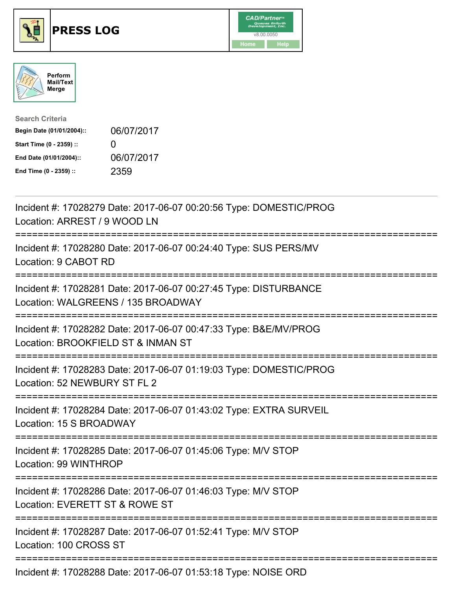





| <b>Search Criteria</b>    |                   |
|---------------------------|-------------------|
| Begin Date (01/01/2004):: | 06/07/2017        |
| Start Time (0 - 2359) ::  | $\mathbf{\Omega}$ |
| End Date (01/01/2004)::   | 06/07/2017        |
| End Time (0 - 2359) ::    | 2359              |

| Incident #: 17028279 Date: 2017-06-07 00:20:56 Type: DOMESTIC/PROG<br>Location: ARREST / 9 WOOD LN                          |
|-----------------------------------------------------------------------------------------------------------------------------|
| Incident #: 17028280 Date: 2017-06-07 00:24:40 Type: SUS PERS/MV<br>Location: 9 CABOT RD                                    |
| Incident #: 17028281 Date: 2017-06-07 00:27:45 Type: DISTURBANCE<br>Location: WALGREENS / 135 BROADWAY                      |
| Incident #: 17028282 Date: 2017-06-07 00:47:33 Type: B&E/MV/PROG<br>Location: BROOKFIELD ST & INMAN ST                      |
| Incident #: 17028283 Date: 2017-06-07 01:19:03 Type: DOMESTIC/PROG<br>Location: 52 NEWBURY ST FL 2                          |
| Incident #: 17028284 Date: 2017-06-07 01:43:02 Type: EXTRA SURVEIL<br>Location: 15 S BROADWAY                               |
| Incident #: 17028285 Date: 2017-06-07 01:45:06 Type: M/V STOP<br>Location: 99 WINTHROP                                      |
| Incident #: 17028286 Date: 2017-06-07 01:46:03 Type: M/V STOP<br>Location: EVERETT ST & ROWE ST<br>------------------------ |
| Incident #: 17028287 Date: 2017-06-07 01:52:41 Type: M/V STOP<br>Location: 100 CROSS ST                                     |
| Incident #: 17028288 Date: 2017-06-07 01:53:18 Type: NOISE ORD                                                              |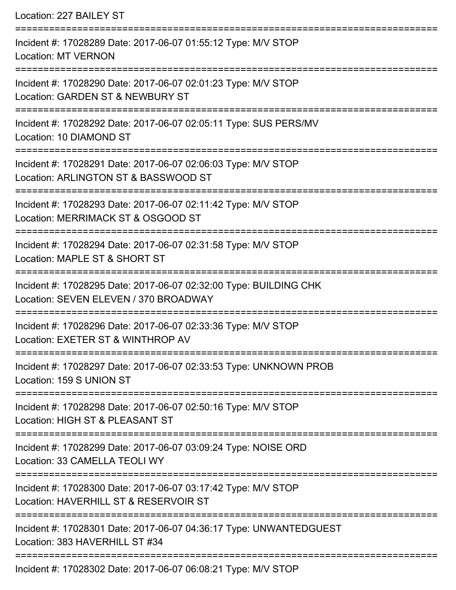| Location: 227 BAILEY ST                                                                                                          |
|----------------------------------------------------------------------------------------------------------------------------------|
| Incident #: 17028289 Date: 2017-06-07 01:55:12 Type: M/V STOP<br><b>Location: MT VERNON</b>                                      |
| Incident #: 17028290 Date: 2017-06-07 02:01:23 Type: M/V STOP<br>Location: GARDEN ST & NEWBURY ST<br>;========================== |
| Incident #: 17028292 Date: 2017-06-07 02:05:11 Type: SUS PERS/MV<br>Location: 10 DIAMOND ST                                      |
| Incident #: 17028291 Date: 2017-06-07 02:06:03 Type: M/V STOP<br>Location: ARLINGTON ST & BASSWOOD ST                            |
| Incident #: 17028293 Date: 2017-06-07 02:11:42 Type: M/V STOP<br>Location: MERRIMACK ST & OSGOOD ST                              |
| Incident #: 17028294 Date: 2017-06-07 02:31:58 Type: M/V STOP<br>Location: MAPLE ST & SHORT ST                                   |
| Incident #: 17028295 Date: 2017-06-07 02:32:00 Type: BUILDING CHK<br>Location: SEVEN ELEVEN / 370 BROADWAY                       |
| Incident #: 17028296 Date: 2017-06-07 02:33:36 Type: M/V STOP<br>Location: EXETER ST & WINTHROP AV                               |
| Incident #: 17028297 Date: 2017-06-07 02:33:53 Type: UNKNOWN PROB<br>Location: 159 S UNION ST                                    |
| Incident #: 17028298 Date: 2017-06-07 02:50:16 Type: M/V STOP<br>Location: HIGH ST & PLEASANT ST                                 |
| Incident #: 17028299 Date: 2017-06-07 03:09:24 Type: NOISE ORD<br>Location: 33 CAMELLA TEOLI WY                                  |
| Incident #: 17028300 Date: 2017-06-07 03:17:42 Type: M/V STOP<br>Location: HAVERHILL ST & RESERVOIR ST                           |
| Incident #: 17028301 Date: 2017-06-07 04:36:17 Type: UNWANTEDGUEST<br>Location: 383 HAVERHILL ST #34                             |
| $17000000$ Deta: $2017.00.07$ 00:00:01 Tupe: $M\overline{N}$ CTOD                                                                |

Incident #: 17028302 Date: 2017-06-07 06:08:21 Type: M/V STOP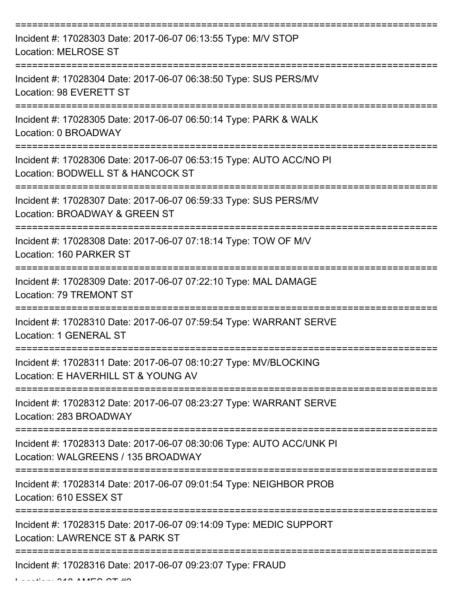| Incident #: 17028303 Date: 2017-06-07 06:13:55 Type: M/V STOP<br><b>Location: MELROSE ST</b>               |
|------------------------------------------------------------------------------------------------------------|
| Incident #: 17028304 Date: 2017-06-07 06:38:50 Type: SUS PERS/MV<br>Location: 98 EVERETT ST                |
| Incident #: 17028305 Date: 2017-06-07 06:50:14 Type: PARK & WALK<br>Location: 0 BROADWAY                   |
| Incident #: 17028306 Date: 2017-06-07 06:53:15 Type: AUTO ACC/NO PI<br>Location: BODWELL ST & HANCOCK ST   |
| Incident #: 17028307 Date: 2017-06-07 06:59:33 Type: SUS PERS/MV<br>Location: BROADWAY & GREEN ST          |
| Incident #: 17028308 Date: 2017-06-07 07:18:14 Type: TOW OF M/V<br>Location: 160 PARKER ST                 |
| Incident #: 17028309 Date: 2017-06-07 07:22:10 Type: MAL DAMAGE<br>Location: 79 TREMONT ST                 |
| Incident #: 17028310 Date: 2017-06-07 07:59:54 Type: WARRANT SERVE<br>Location: 1 GENERAL ST               |
| Incident #: 17028311 Date: 2017-06-07 08:10:27 Type: MV/BLOCKING<br>Location: E HAVERHILL ST & YOUNG AV    |
| Incident #: 17028312 Date: 2017-06-07 08:23:27 Type: WARRANT SERVE<br>Location: 283 BROADWAY               |
| Incident #: 17028313 Date: 2017-06-07 08:30:06 Type: AUTO ACC/UNK PI<br>Location: WALGREENS / 135 BROADWAY |
| Incident #: 17028314 Date: 2017-06-07 09:01:54 Type: NEIGHBOR PROB<br>Location: 610 ESSEX ST               |
| Incident #: 17028315 Date: 2017-06-07 09:14:09 Type: MEDIC SUPPORT<br>Location: LAWRENCE ST & PARK ST      |
| Incident #: 17028316 Date: 2017-06-07 09:23:07 Type: FRAUD                                                 |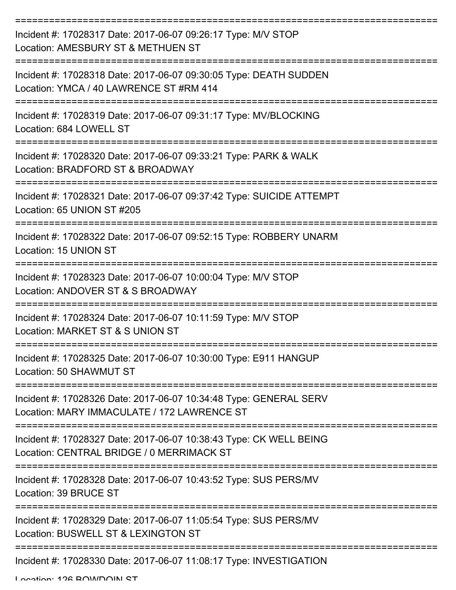| Incident #: 17028317 Date: 2017-06-07 09:26:17 Type: M/V STOP<br>Location: AMESBURY ST & METHUEN ST              |
|------------------------------------------------------------------------------------------------------------------|
| Incident #: 17028318 Date: 2017-06-07 09:30:05 Type: DEATH SUDDEN<br>Location: YMCA / 40 LAWRENCE ST #RM 414     |
| Incident #: 17028319 Date: 2017-06-07 09:31:17 Type: MV/BLOCKING<br>Location: 684 LOWELL ST                      |
| Incident #: 17028320 Date: 2017-06-07 09:33:21 Type: PARK & WALK<br>Location: BRADFORD ST & BROADWAY             |
| Incident #: 17028321 Date: 2017-06-07 09:37:42 Type: SUICIDE ATTEMPT<br>Location: 65 UNION ST #205               |
| Incident #: 17028322 Date: 2017-06-07 09:52:15 Type: ROBBERY UNARM<br>Location: 15 UNION ST                      |
| Incident #: 17028323 Date: 2017-06-07 10:00:04 Type: M/V STOP<br>Location: ANDOVER ST & S BROADWAY               |
| Incident #: 17028324 Date: 2017-06-07 10:11:59 Type: M/V STOP<br>Location: MARKET ST & S UNION ST                |
| Incident #: 17028325 Date: 2017-06-07 10:30:00 Type: E911 HANGUP<br>Location: 50 SHAWMUT ST                      |
| Incident #: 17028326 Date: 2017-06-07 10:34:48 Type: GENERAL SERV<br>Location: MARY IMMACULATE / 172 LAWRENCE ST |
| Incident #: 17028327 Date: 2017-06-07 10:38:43 Type: CK WELL BEING<br>Location: CENTRAL BRIDGE / 0 MERRIMACK ST  |
| Incident #: 17028328 Date: 2017-06-07 10:43:52 Type: SUS PERS/MV<br>Location: 39 BRUCE ST                        |
| Incident #: 17028329 Date: 2017-06-07 11:05:54 Type: SUS PERS/MV<br>Location: BUSWELL ST & LEXINGTON ST          |
| Incident #: 17028330 Date: 2017-06-07 11:08:17 Type: INVESTIGATION                                               |

Location: 126 BOWDOIN ST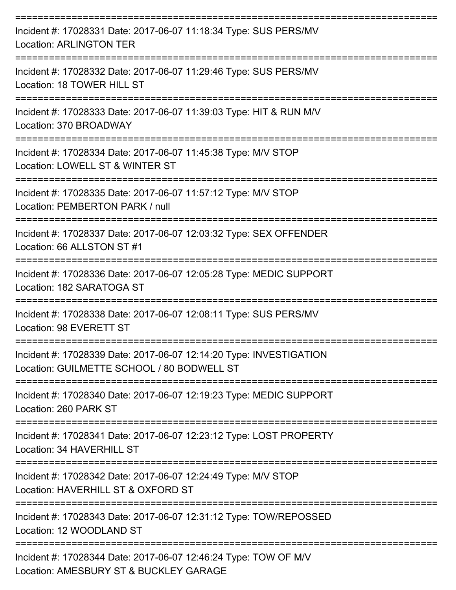| Incident #: 17028331 Date: 2017-06-07 11:18:34 Type: SUS PERS/MV<br><b>Location: ARLINGTON TER</b>               |
|------------------------------------------------------------------------------------------------------------------|
| Incident #: 17028332 Date: 2017-06-07 11:29:46 Type: SUS PERS/MV<br>Location: 18 TOWER HILL ST                   |
| Incident #: 17028333 Date: 2017-06-07 11:39:03 Type: HIT & RUN M/V<br>Location: 370 BROADWAY                     |
| Incident #: 17028334 Date: 2017-06-07 11:45:38 Type: M/V STOP<br>Location: LOWELL ST & WINTER ST                 |
| Incident #: 17028335 Date: 2017-06-07 11:57:12 Type: M/V STOP<br>Location: PEMBERTON PARK / null                 |
| Incident #: 17028337 Date: 2017-06-07 12:03:32 Type: SEX OFFENDER<br>Location: 66 ALLSTON ST #1                  |
| Incident #: 17028336 Date: 2017-06-07 12:05:28 Type: MEDIC SUPPORT<br>Location: 182 SARATOGA ST                  |
| Incident #: 17028338 Date: 2017-06-07 12:08:11 Type: SUS PERS/MV<br>Location: 98 EVERETT ST                      |
| Incident #: 17028339 Date: 2017-06-07 12:14:20 Type: INVESTIGATION<br>Location: GUILMETTE SCHOOL / 80 BODWELL ST |
| Incident #: 17028340 Date: 2017-06-07 12:19:23 Type: MEDIC SUPPORT<br>Location: 260 PARK ST                      |
| Incident #: 17028341 Date: 2017-06-07 12:23:12 Type: LOST PROPERTY<br>Location: 34 HAVERHILL ST                  |
| Incident #: 17028342 Date: 2017-06-07 12:24:49 Type: M/V STOP<br>Location: HAVERHILL ST & OXFORD ST              |
| Incident #: 17028343 Date: 2017-06-07 12:31:12 Type: TOW/REPOSSED<br>Location: 12 WOODLAND ST                    |
| Incident #: 17028344 Date: 2017-06-07 12:46:24 Type: TOW OF M/V<br>Location: AMESBURY ST & BUCKLEY GARAGE        |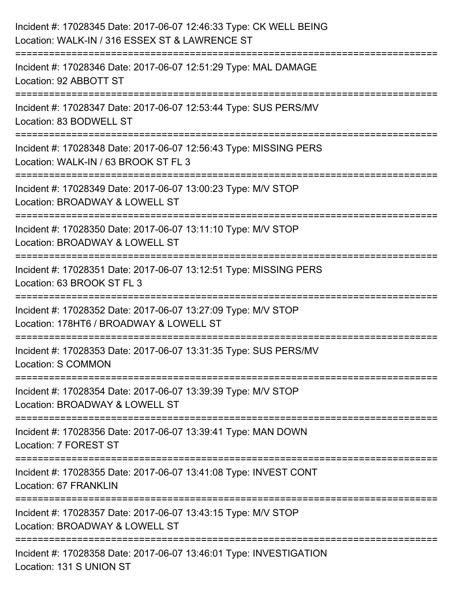| Incident #: 17028345 Date: 2017-06-07 12:46:33 Type: CK WELL BEING<br>Location: WALK-IN / 316 ESSEX ST & LAWRENCE ST   |
|------------------------------------------------------------------------------------------------------------------------|
| =========================<br>Incident #: 17028346 Date: 2017-06-07 12:51:29 Type: MAL DAMAGE<br>Location: 92 ABBOTT ST |
| Incident #: 17028347 Date: 2017-06-07 12:53:44 Type: SUS PERS/MV<br>Location: 83 BODWELL ST                            |
| Incident #: 17028348 Date: 2017-06-07 12:56:43 Type: MISSING PERS<br>Location: WALK-IN / 63 BROOK ST FL 3              |
| Incident #: 17028349 Date: 2017-06-07 13:00:23 Type: M/V STOP<br>Location: BROADWAY & LOWELL ST<br>------------------  |
| Incident #: 17028350 Date: 2017-06-07 13:11:10 Type: M/V STOP<br>Location: BROADWAY & LOWELL ST                        |
| Incident #: 17028351 Date: 2017-06-07 13:12:51 Type: MISSING PERS<br>Location: 63 BROOK ST FL 3                        |
| Incident #: 17028352 Date: 2017-06-07 13:27:09 Type: M/V STOP<br>Location: 178HT6 / BROADWAY & LOWELL ST               |
| Incident #: 17028353 Date: 2017-06-07 13:31:35 Type: SUS PERS/MV<br><b>Location: S COMMON</b>                          |
| Incident #: 17028354 Date: 2017-06-07 13:39:39 Type: M/V STOP<br>Location: BROADWAY & LOWELL ST                        |
| Incident #: 17028356 Date: 2017-06-07 13:39:41 Type: MAN DOWN<br>Location: 7 FOREST ST                                 |
| Incident #: 17028355 Date: 2017-06-07 13:41:08 Type: INVEST CONT<br>Location: 67 FRANKLIN                              |
| Incident #: 17028357 Date: 2017-06-07 13:43:15 Type: M/V STOP<br>Location: BROADWAY & LOWELL ST                        |
| Incident #: 17028358 Date: 2017-06-07 13:46:01 Type: INVESTIGATION<br>Location: 131 S UNION ST                         |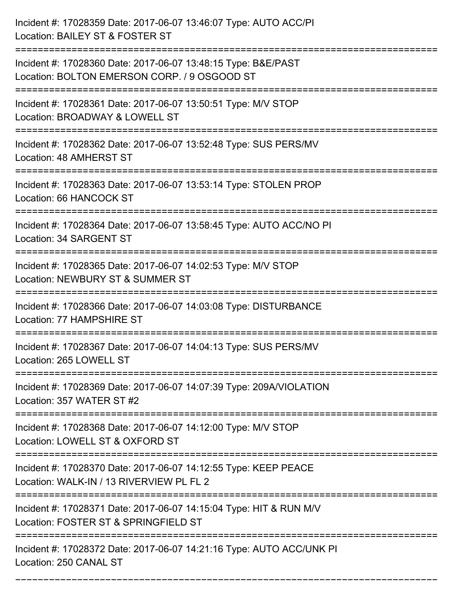| Incident #: 17028359 Date: 2017-06-07 13:46:07 Type: AUTO ACC/PI<br>Location: BAILEY ST & FOSTER ST                      |
|--------------------------------------------------------------------------------------------------------------------------|
| Incident #: 17028360 Date: 2017-06-07 13:48:15 Type: B&E/PAST<br>Location: BOLTON EMERSON CORP. / 9 OSGOOD ST            |
| Incident #: 17028361 Date: 2017-06-07 13:50:51 Type: M/V STOP<br>Location: BROADWAY & LOWELL ST<br>:==================== |
| Incident #: 17028362 Date: 2017-06-07 13:52:48 Type: SUS PERS/MV<br>Location: 48 AMHERST ST                              |
| Incident #: 17028363 Date: 2017-06-07 13:53:14 Type: STOLEN PROP<br>Location: 66 HANCOCK ST                              |
| Incident #: 17028364 Date: 2017-06-07 13:58:45 Type: AUTO ACC/NO PI<br>Location: 34 SARGENT ST                           |
| Incident #: 17028365 Date: 2017-06-07 14:02:53 Type: M/V STOP<br>Location: NEWBURY ST & SUMMER ST                        |
| Incident #: 17028366 Date: 2017-06-07 14:03:08 Type: DISTURBANCE<br>Location: 77 HAMPSHIRE ST                            |
| Incident #: 17028367 Date: 2017-06-07 14:04:13 Type: SUS PERS/MV<br>Location: 265 LOWELL ST                              |
| Incident #: 17028369 Date: 2017-06-07 14:07:39 Type: 209A/VIOLATION<br>Location: 357 WATER ST #2                         |
| Incident #: 17028368 Date: 2017-06-07 14:12:00 Type: M/V STOP<br>Location: LOWELL ST & OXFORD ST                         |
| Incident #: 17028370 Date: 2017-06-07 14:12:55 Type: KEEP PEACE<br>Location: WALK-IN / 13 RIVERVIEW PL FL 2              |
| Incident #: 17028371 Date: 2017-06-07 14:15:04 Type: HIT & RUN M/V<br>Location: FOSTER ST & SPRINGFIELD ST               |
| Incident #: 17028372 Date: 2017-06-07 14:21:16 Type: AUTO ACC/UNK PI<br>Location: 250 CANAL ST                           |

===========================================================================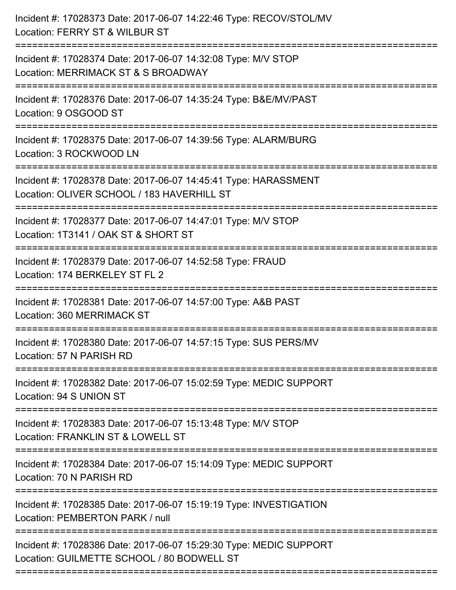| Incident #: 17028373 Date: 2017-06-07 14:22:46 Type: RECOV/STOL/MV<br>Location: FERRY ST & WILBUR ST             |
|------------------------------------------------------------------------------------------------------------------|
| Incident #: 17028374 Date: 2017-06-07 14:32:08 Type: M/V STOP<br>Location: MERRIMACK ST & S BROADWAY             |
| Incident #: 17028376 Date: 2017-06-07 14:35:24 Type: B&E/MV/PAST<br>Location: 9 OSGOOD ST                        |
| Incident #: 17028375 Date: 2017-06-07 14:39:56 Type: ALARM/BURG<br>Location: 3 ROCKWOOD LN                       |
| Incident #: 17028378 Date: 2017-06-07 14:45:41 Type: HARASSMENT<br>Location: OLIVER SCHOOL / 183 HAVERHILL ST    |
| Incident #: 17028377 Date: 2017-06-07 14:47:01 Type: M/V STOP<br>Location: 1T3141 / OAK ST & SHORT ST            |
| Incident #: 17028379 Date: 2017-06-07 14:52:58 Type: FRAUD<br>Location: 174 BERKELEY ST FL 2                     |
| Incident #: 17028381 Date: 2017-06-07 14:57:00 Type: A&B PAST<br>Location: 360 MERRIMACK ST                      |
| Incident #: 17028380 Date: 2017-06-07 14:57:15 Type: SUS PERS/MV<br>Location: 57 N PARISH RD                     |
| Incident #: 17028382 Date: 2017-06-07 15:02:59 Type: MEDIC SUPPORT<br>Location: 94 S UNION ST                    |
| Incident #: 17028383 Date: 2017-06-07 15:13:48 Type: M/V STOP<br>Location: FRANKLIN ST & LOWELL ST               |
| Incident #: 17028384 Date: 2017-06-07 15:14:09 Type: MEDIC SUPPORT<br>Location: 70 N PARISH RD                   |
| Incident #: 17028385 Date: 2017-06-07 15:19:19 Type: INVESTIGATION<br>Location: PEMBERTON PARK / null            |
| Incident #: 17028386 Date: 2017-06-07 15:29:30 Type: MEDIC SUPPORT<br>Location: GUILMETTE SCHOOL / 80 BODWELL ST |
|                                                                                                                  |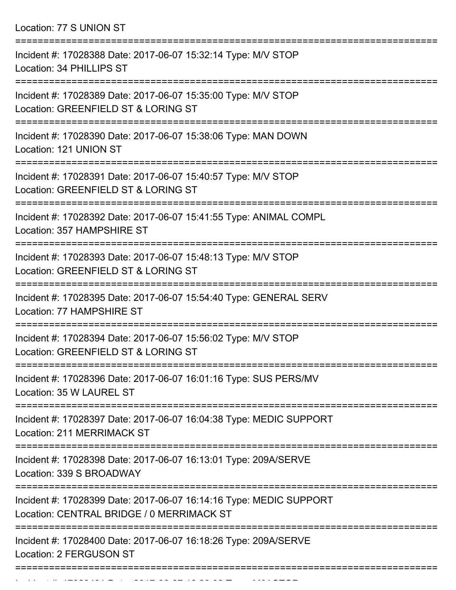Location: 77 S UNION ST =========================================================================== Incident #: 17028388 Date: 2017-06-07 15:32:14 Type: M/V STOP Location: 34 PHILLIPS ST =========================================================================== Incident #: 17028389 Date: 2017-06-07 15:35:00 Type: M/V STOP Location: GREENFIELD ST & LORING ST =========================================================================== Incident #: 17028390 Date: 2017-06-07 15:38:06 Type: MAN DOWN Location: 121 UNION ST =========================================================================== Incident #: 17028391 Date: 2017-06-07 15:40:57 Type: M/V STOP Location: GREENFIELD ST & LORING ST =========================================================================== Incident #: 17028392 Date: 2017-06-07 15:41:55 Type: ANIMAL COMPL Location: 357 HAMPSHIRE ST =========================================================================== Incident #: 17028393 Date: 2017-06-07 15:48:13 Type: M/V STOP Location: GREENFIELD ST & LORING ST =========================================================================== Incident #: 17028395 Date: 2017-06-07 15:54:40 Type: GENERAL SERV Location: 77 HAMPSHIRE ST =========================================================================== Incident #: 17028394 Date: 2017-06-07 15:56:02 Type: M/V STOP Location: GREENFIELD ST & LORING ST =========================================================================== Incident #: 17028396 Date: 2017-06-07 16:01:16 Type: SUS PERS/MV Location: 35 W LAUREL ST =========================================================================== Incident #: 17028397 Date: 2017-06-07 16:04:38 Type: MEDIC SUPPORT Location: 211 MERRIMACK ST =========================================================================== Incident #: 17028398 Date: 2017-06-07 16:13:01 Type: 209A/SERVE Location: 339 S BROADWAY =========================================================================== Incident #: 17028399 Date: 2017-06-07 16:14:16 Type: MEDIC SUPPORT Location: CENTRAL BRIDGE / 0 MERRIMACK ST =========================================================================== Incident #: 17028400 Date: 2017-06-07 16:18:26 Type: 209A/SERVE Location: 2 FERGUSON ST ===========================================================================

Incident #: 17028401 Date: 2017 06 07 16:20:02 Type: Microsoft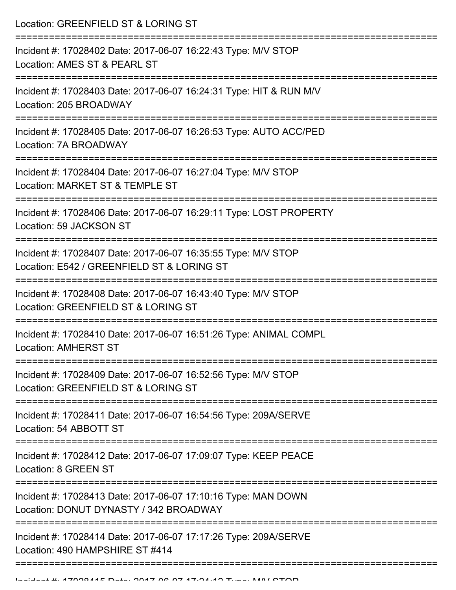| Location: GREENFIELD ST & LORING ST                                                                                                  |
|--------------------------------------------------------------------------------------------------------------------------------------|
| Incident #: 17028402 Date: 2017-06-07 16:22:43 Type: M/V STOP<br>Location: AMES ST & PEARL ST                                        |
| Incident #: 17028403 Date: 2017-06-07 16:24:31 Type: HIT & RUN M/V<br>Location: 205 BROADWAY                                         |
| Incident #: 17028405 Date: 2017-06-07 16:26:53 Type: AUTO ACC/PED<br>Location: 7A BROADWAY                                           |
| Incident #: 17028404 Date: 2017-06-07 16:27:04 Type: M/V STOP<br>Location: MARKET ST & TEMPLE ST                                     |
| Incident #: 17028406 Date: 2017-06-07 16:29:11 Type: LOST PROPERTY<br>Location: 59 JACKSON ST                                        |
| Incident #: 17028407 Date: 2017-06-07 16:35:55 Type: M/V STOP<br>Location: E542 / GREENFIELD ST & LORING ST                          |
| Incident #: 17028408 Date: 2017-06-07 16:43:40 Type: M/V STOP<br>Location: GREENFIELD ST & LORING ST                                 |
| Incident #: 17028410 Date: 2017-06-07 16:51:26 Type: ANIMAL COMPL<br><b>Location: AMHERST ST</b><br>===========================      |
| Incident #: 17028409 Date: 2017-06-07 16:52:56 Type: M/V STOP<br>Location: GREENFIELD ST & LORING ST                                 |
| Incident #: 17028411 Date: 2017-06-07 16:54:56 Type: 209A/SERVE<br>Location: 54 ABBOTT ST<br>.---------------------------------      |
| Incident #: 17028412 Date: 2017-06-07 17:09:07 Type: KEEP PEACE<br>Location: 8 GREEN ST                                              |
| -------------------------<br>Incident #: 17028413 Date: 2017-06-07 17:10:16 Type: MAN DOWN<br>Location: DONUT DYNASTY / 342 BROADWAY |
| Incident #: 17028414 Date: 2017-06-07 17:17:26 Type: 209A/SERVE<br>Location: 490 HAMPSHIRE ST #414                                   |
|                                                                                                                                      |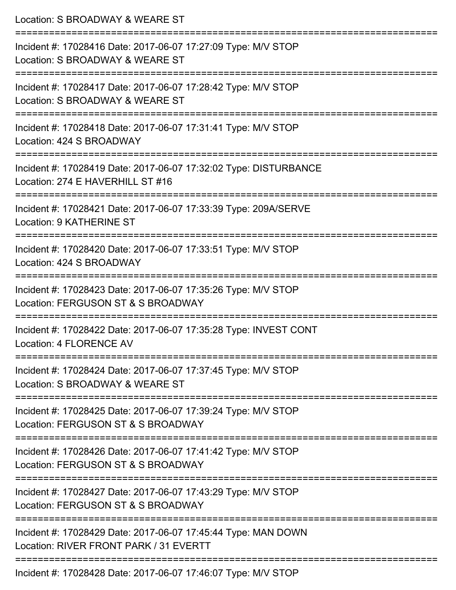| Location: S BROADWAY & WEARE ST                                                                                            |
|----------------------------------------------------------------------------------------------------------------------------|
| Incident #: 17028416 Date: 2017-06-07 17:27:09 Type: M/V STOP<br>Location: S BROADWAY & WEARE ST<br>====================== |
| Incident #: 17028417 Date: 2017-06-07 17:28:42 Type: M/V STOP<br>Location: S BROADWAY & WEARE ST                           |
| Incident #: 17028418 Date: 2017-06-07 17:31:41 Type: M/V STOP<br>Location: 424 S BROADWAY                                  |
| Incident #: 17028419 Date: 2017-06-07 17:32:02 Type: DISTURBANCE<br>Location: 274 E HAVERHILL ST #16                       |
| Incident #: 17028421 Date: 2017-06-07 17:33:39 Type: 209A/SERVE<br><b>Location: 9 KATHERINE ST</b>                         |
| Incident #: 17028420 Date: 2017-06-07 17:33:51 Type: M/V STOP<br>Location: 424 S BROADWAY                                  |
| -------------<br>Incident #: 17028423 Date: 2017-06-07 17:35:26 Type: M/V STOP<br>Location: FERGUSON ST & S BROADWAY       |
| Incident #: 17028422 Date: 2017-06-07 17:35:28 Type: INVEST CONT<br>Location: 4 FLORENCE AV                                |
| Incident #: 17028424 Date: 2017-06-07 17:37:45 Type: M/V STOP<br>Location: S BROADWAY & WEARE ST                           |
| Incident #: 17028425 Date: 2017-06-07 17:39:24 Type: M/V STOP<br>Location: FERGUSON ST & S BROADWAY                        |
| Incident #: 17028426 Date: 2017-06-07 17:41:42 Type: M/V STOP<br>Location: FERGUSON ST & S BROADWAY                        |
| Incident #: 17028427 Date: 2017-06-07 17:43:29 Type: M/V STOP<br>Location: FERGUSON ST & S BROADWAY                        |
| Incident #: 17028429 Date: 2017-06-07 17:45:44 Type: MAN DOWN<br>Location: RIVER FRONT PARK / 31 EVERTT                    |
| Incident #: 17028428 Date: 2017-06-07 17:46:07 Type: M/V STOP                                                              |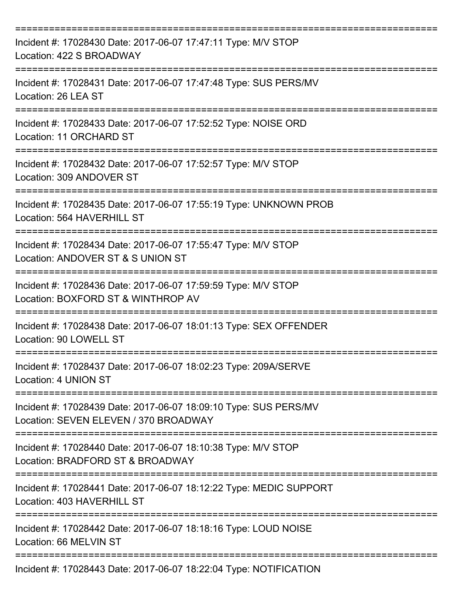| Incident #: 17028430 Date: 2017-06-07 17:47:11 Type: M/V STOP<br>Location: 422 S BROADWAY                 |
|-----------------------------------------------------------------------------------------------------------|
| Incident #: 17028431 Date: 2017-06-07 17:47:48 Type: SUS PERS/MV<br>Location: 26 LEA ST                   |
| Incident #: 17028433 Date: 2017-06-07 17:52:52 Type: NOISE ORD<br>Location: 11 ORCHARD ST                 |
| Incident #: 17028432 Date: 2017-06-07 17:52:57 Type: M/V STOP<br>Location: 309 ANDOVER ST                 |
| Incident #: 17028435 Date: 2017-06-07 17:55:19 Type: UNKNOWN PROB<br>Location: 564 HAVERHILL ST           |
| Incident #: 17028434 Date: 2017-06-07 17:55:47 Type: M/V STOP<br>Location: ANDOVER ST & S UNION ST        |
| Incident #: 17028436 Date: 2017-06-07 17:59:59 Type: M/V STOP<br>Location: BOXFORD ST & WINTHROP AV       |
| Incident #: 17028438 Date: 2017-06-07 18:01:13 Type: SEX OFFENDER<br>Location: 90 LOWELL ST               |
| Incident #: 17028437 Date: 2017-06-07 18:02:23 Type: 209A/SERVE<br>Location: 4 UNION ST                   |
| Incident #: 17028439 Date: 2017-06-07 18:09:10 Type: SUS PERS/MV<br>Location: SEVEN ELEVEN / 370 BROADWAY |
| Incident #: 17028440 Date: 2017-06-07 18:10:38 Type: M/V STOP<br>Location: BRADFORD ST & BROADWAY         |
| Incident #: 17028441 Date: 2017-06-07 18:12:22 Type: MEDIC SUPPORT<br>Location: 403 HAVERHILL ST          |
| Incident #: 17028442 Date: 2017-06-07 18:18:16 Type: LOUD NOISE<br>Location: 66 MELVIN ST                 |
| Incident #: 17028443 Date: 2017-06-07 18:22:04 Type: NOTIFICATION                                         |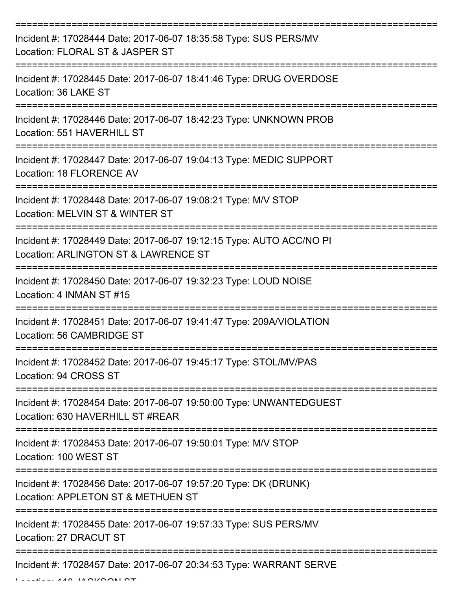| Incident #: 17028444 Date: 2017-06-07 18:35:58 Type: SUS PERS/MV<br>Location: FLORAL ST & JASPER ST                           |
|-------------------------------------------------------------------------------------------------------------------------------|
| Incident #: 17028445 Date: 2017-06-07 18:41:46 Type: DRUG OVERDOSE<br>Location: 36 LAKE ST                                    |
| Incident #: 17028446 Date: 2017-06-07 18:42:23 Type: UNKNOWN PROB<br>Location: 551 HAVERHILL ST                               |
| Incident #: 17028447 Date: 2017-06-07 19:04:13 Type: MEDIC SUPPORT<br>Location: 18 FLORENCE AV                                |
| Incident #: 17028448 Date: 2017-06-07 19:08:21 Type: M/V STOP<br>Location: MELVIN ST & WINTER ST                              |
| Incident #: 17028449 Date: 2017-06-07 19:12:15 Type: AUTO ACC/NO PI<br>Location: ARLINGTON ST & LAWRENCE ST                   |
| Incident #: 17028450 Date: 2017-06-07 19:32:23 Type: LOUD NOISE<br>Location: 4 INMAN ST #15                                   |
| Incident #: 17028451 Date: 2017-06-07 19:41:47 Type: 209A/VIOLATION<br>Location: 56 CAMBRIDGE ST                              |
| Incident #: 17028452 Date: 2017-06-07 19:45:17 Type: STOL/MV/PAS<br>Location: 94 CROSS ST                                     |
| ===================<br>Incident #: 17028454 Date: 2017-06-07 19:50:00 Type: UNWANTEDGUEST<br>Location: 630 HAVERHILL ST #REAR |
| Incident #: 17028453 Date: 2017-06-07 19:50:01 Type: M/V STOP<br>Location: 100 WEST ST                                        |
| Incident #: 17028456 Date: 2017-06-07 19:57:20 Type: DK (DRUNK)<br>Location: APPLETON ST & METHUEN ST                         |
| Incident #: 17028455 Date: 2017-06-07 19:57:33 Type: SUS PERS/MV<br>Location: 27 DRACUT ST                                    |
| Incident #: 17028457 Date: 2017-06-07 20:34:53 Type: WARRANT SERVE                                                            |

Location: 118 JACKSON ST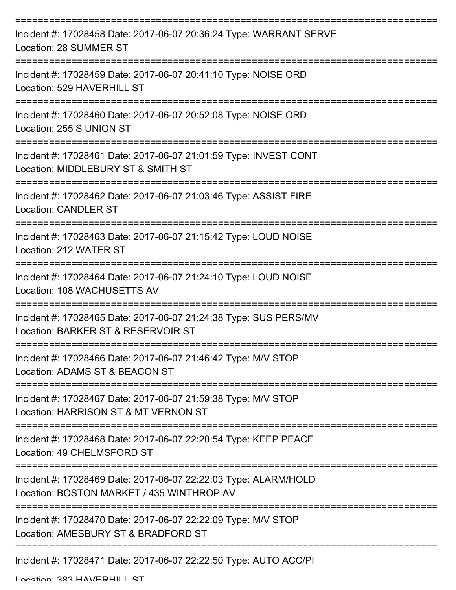| Incident #: 17028458 Date: 2017-06-07 20:36:24 Type: WARRANT SERVE<br>Location: 28 SUMMER ST                 |
|--------------------------------------------------------------------------------------------------------------|
| Incident #: 17028459 Date: 2017-06-07 20:41:10 Type: NOISE ORD<br>Location: 529 HAVERHILL ST                 |
| Incident #: 17028460 Date: 2017-06-07 20:52:08 Type: NOISE ORD<br>Location: 255 S UNION ST                   |
| Incident #: 17028461 Date: 2017-06-07 21:01:59 Type: INVEST CONT<br>Location: MIDDLEBURY ST & SMITH ST       |
| Incident #: 17028462 Date: 2017-06-07 21:03:46 Type: ASSIST FIRE<br><b>Location: CANDLER ST</b>              |
| Incident #: 17028463 Date: 2017-06-07 21:15:42 Type: LOUD NOISE<br>Location: 212 WATER ST                    |
| Incident #: 17028464 Date: 2017-06-07 21:24:10 Type: LOUD NOISE<br>Location: 108 WACHUSETTS AV               |
| Incident #: 17028465 Date: 2017-06-07 21:24:38 Type: SUS PERS/MV<br>Location: BARKER ST & RESERVOIR ST       |
| Incident #: 17028466 Date: 2017-06-07 21:46:42 Type: M/V STOP<br>Location: ADAMS ST & BEACON ST              |
| Incident #: 17028467 Date: 2017-06-07 21:59:38 Type: M/V STOP<br>Location: HARRISON ST & MT VERNON ST        |
| Incident #: 17028468 Date: 2017-06-07 22:20:54 Type: KEEP PEACE<br>Location: 49 CHELMSFORD ST                |
| Incident #: 17028469 Date: 2017-06-07 22:22:03 Type: ALARM/HOLD<br>Location: BOSTON MARKET / 435 WINTHROP AV |
| Incident #: 17028470 Date: 2017-06-07 22:22:09 Type: M/V STOP<br>Location: AMESBURY ST & BRADFORD ST         |
| Incident #: 17028471 Date: 2017-06-07 22:22:50 Type: AUTO ACC/PI                                             |

Location: 383 HAVERHILL ST